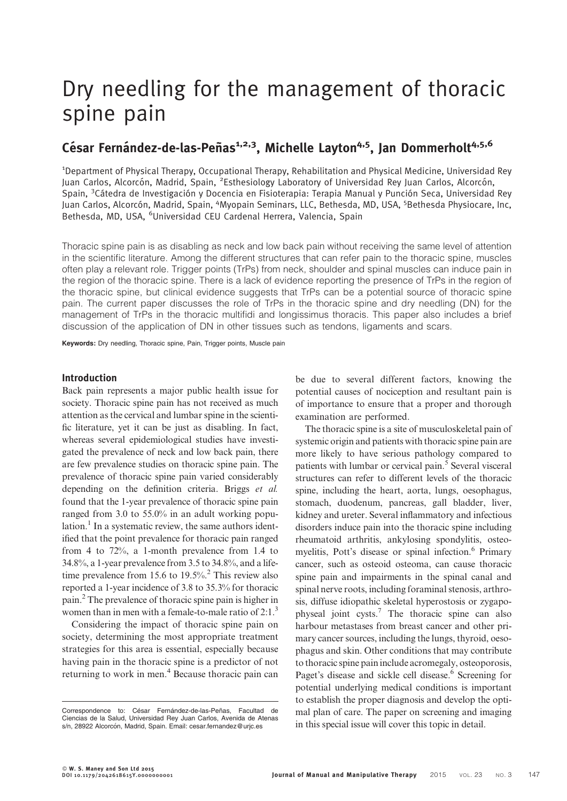# Dry needling for the management of thoracic spine pain

# César Fernández-de-las-Peñas<sup>1,2,3</sup>, Michelle Layton<sup>4,5</sup>, Jan Dommerholt<sup>4,5,6</sup>

<sup>1</sup>Department of Physical Therapy, Occupational Therapy, Rehabilitation and Physical Medicine, Universidad Rey Juan Carlos, Alcorcón, Madrid, Spain, <sup>2</sup>Esthesiology Laboratory of Universidad Rey Juan Carlos, Alcorcón, Spain, <sup>3</sup>Cátedra de Investigación y Docencia en Fisioterapia: Terapia Manual y Punción Seca, Universidad Rey Juan Carlos, Alcorcón, Madrid, Spain, <sup>4</sup>Myopain Seminars, LLC, Bethesda, MD, USA, <sup>5</sup>Bethesda Physiocare, Inc, Bethesda, MD, USA, <sup>6</sup>Universidad CEU Cardenal Herrera, Valencia, Spain

Thoracic spine pain is as disabling as neck and low back pain without receiving the same level of attention in the scientific literature. Among the different structures that can refer pain to the thoracic spine, muscles often play a relevant role. Trigger points (TrPs) from neck, shoulder and spinal muscles can induce pain in the region of the thoracic spine. There is a lack of evidence reporting the presence of TrPs in the region of the thoracic spine, but clinical evidence suggests that TrPs can be a potential source of thoracic spine pain. The current paper discusses the role of TrPs in the thoracic spine and dry needling (DN) for the management of TrPs in the thoracic multifidi and longissimus thoracis. This paper also includes a brief discussion of the application of DN in other tissues such as tendons, ligaments and scars.

Keywords: Dry needling, Thoracic spine, Pain, Trigger points, Muscle pain

#### Introduction

Back pain represents a major public health issue for society. Thoracic spine pain has not received as much attention as the cervical and lumbar spine in the scientific literature, yet it can be just as disabling. In fact, whereas several epidemiological studies have investigated the prevalence of neck and low back pain, there are few prevalence studies on thoracic spine pain. The prevalence of thoracic spine pain varied considerably depending on the definition criteria. Briggs et al. found that the 1-year prevalence of thoracic spine pain ranged from 3.0 to 55.0% in an adult working population.<sup>1</sup> In a systematic review, the same authors identified that the point prevalence for thoracic pain ranged from 4 to 72%, a 1-month prevalence from 1.4 to 34.8%, a 1-year prevalence from 3.5 to 34.8%, and a lifetime prevalence from 15.6 to  $19.5\%$ <sup>2</sup>. This review also reported a 1-year incidence of 3.8 to 35.3% for thoracic pain.2 The prevalence of thoracic spine pain is higher in women than in men with a female-to-male ratio of  $2:1.^3$ 

Considering the impact of thoracic spine pain on society, determining the most appropriate treatment strategies for this area is essential, especially because having pain in the thoracic spine is a predictor of not returning to work in men.<sup>4</sup> Because thoracic pain can

be due to several different factors, knowing the potential causes of nociception and resultant pain is of importance to ensure that a proper and thorough examination are performed.

The thoracic spine is a site of musculoskeletal pain of systemic origin and patients with thoracic spine pain are more likely to have serious pathology compared to patients with lumbar or cervical pain.<sup>5</sup> Several visceral structures can refer to different levels of the thoracic spine, including the heart, aorta, lungs, oesophagus, stomach, duodenum, pancreas, gall bladder, liver, kidney and ureter. Several inflammatory and infectious disorders induce pain into the thoracic spine including rheumatoid arthritis, ankylosing spondylitis, osteomyelitis, Pott's disease or spinal infection.<sup>6</sup> Primary cancer, such as osteoid osteoma, can cause thoracic spine pain and impairments in the spinal canal and spinal nerve roots, including foraminal stenosis, arthrosis, diffuse idiopathic skeletal hyperostosis or zygapophyseal joint cysts.7 The thoracic spine can also harbour metastases from breast cancer and other primary cancer sources, including the lungs, thyroid, oesophagus and skin. Other conditions that may contribute to thoracic spine pain include acromegaly, osteoporosis, Paget's disease and sickle cell disease.<sup>6</sup> Screening for potential underlying medical conditions is important to establish the proper diagnosis and develop the optimal plan of care. The paper on screening and imaging in this special issue will cover this topic in detail.

Correspondence to: César Fernández-de-las-Peñas, Facultad de Ciencias de la Salud, Universidad Rey Juan Carlos, Avenida de Atenas s/n, 28922 Alcorcón, Madrid, Spain. Email: cesar.fernandez@urjc.es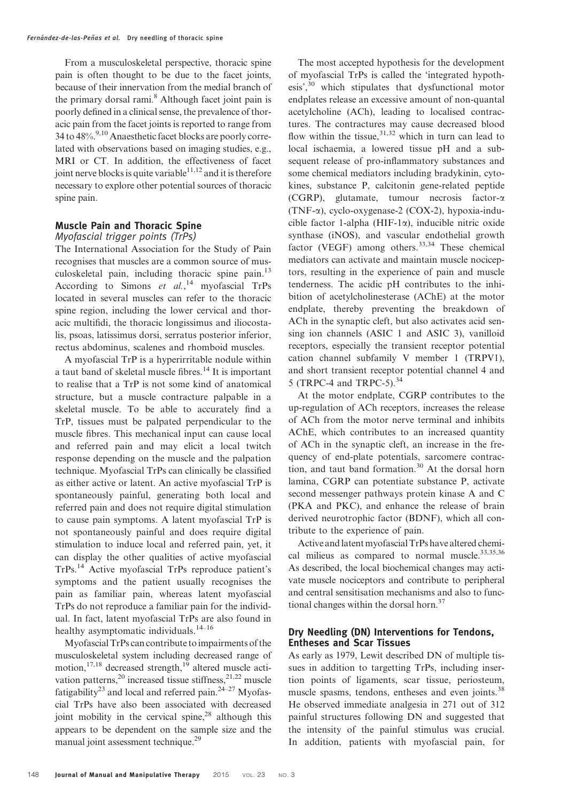From a musculoskeletal perspective, thoracic spine pain is often thought to be due to the facet joints, because of their innervation from the medial branch of the primary dorsal rami.8 Although facet joint pain is poorly defined in a clinical sense, the prevalence of thoracic pain from the facet joints is reported to range from 34 to  $48\%$ <sup>9,10</sup> Anaesthetic facet blocks are poorly correlated with observations based on imaging studies, e.g., MRI or CT. In addition, the effectiveness of facet joint nerve blocks is quite variable<sup>11,12</sup> and it is therefore necessary to explore other potential sources of thoracic spine pain.

#### Muscle Pain and Thoracic Spine Myofascial trigger points (TrPs)

The International Association for the Study of Pain recognises that muscles are a common source of musculoskeletal pain, including thoracic spine pain.<sup>13</sup> According to Simons et  $al$ ,<sup>14</sup> myofascial TrPs located in several muscles can refer to the thoracic spine region, including the lower cervical and thoracic multifidi, the thoracic longissimus and iliocostalis, psoas, latissimus dorsi, serratus posterior inferior, rectus abdominus, scalenes and rhomboid muscles.

A myofascial TrP is a hyperirritable nodule within a taut band of skeletal muscle fibres.<sup>14</sup> It is important to realise that a TrP is not some kind of anatomical structure, but a muscle contracture palpable in a skeletal muscle. To be able to accurately find a TrP, tissues must be palpated perpendicular to the muscle fibres. This mechanical input can cause local and referred pain and may elicit a local twitch response depending on the muscle and the palpation technique. Myofascial TrPs can clinically be classified as either active or latent. An active myofascial TrP is spontaneously painful, generating both local and referred pain and does not require digital stimulation to cause pain symptoms. A latent myofascial TrP is not spontaneously painful and does require digital stimulation to induce local and referred pain, yet, it can display the other qualities of active myofascial TrPs.<sup>14</sup> Active myofascial TrPs reproduce patient's symptoms and the patient usually recognises the pain as familiar pain, whereas latent myofascial TrPs do not reproduce a familiar pain for the individual. In fact, latent myofascial TrPs are also found in healthy asymptomatic individuals.<sup>14–16</sup>

Myofascial TrPs can contribute to impairments of the musculoskeletal system including decreased range of motion, $17,18$  decreased strength, $19$  altered muscle activation patterns,<sup>20</sup> increased tissue stiffness,<sup>21,22</sup> muscle fatigability<sup>23</sup> and local and referred pain.<sup>24–27</sup> Myofascial TrPs have also been associated with decreased joint mobility in the cervical spine, $28$  although this appears to be dependent on the sample size and the manual joint assessment technique.<sup>29</sup>

The most accepted hypothesis for the development of myofascial TrPs is called the 'integrated hypothesis',<sup>30</sup> which stipulates that dysfunctional motor endplates release an excessive amount of non-quantal acetylcholine (ACh), leading to localised contractures. The contractures may cause decreased blood flow within the tissue,  $31,32$  which in turn can lead to local ischaemia, a lowered tissue pH and a subsequent release of pro-inflammatory substances and some chemical mediators including bradykinin, cytokines, substance P, calcitonin gene-related peptide (CGRP), glutamate, tumour necrosis factor-a (TNF- $\alpha$ ), cyclo-oxygenase-2 (COX-2), hypoxia-inducible factor 1-alpha (HIF-1 $\alpha$ ), inducible nitric oxide synthase (iNOS), and vascular endothelial growth factor (VEGF) among others.<sup>33,34</sup> These chemical mediators can activate and maintain muscle nociceptors, resulting in the experience of pain and muscle tenderness. The acidic pH contributes to the inhibition of acetylcholinesterase (AChE) at the motor endplate, thereby preventing the breakdown of ACh in the synaptic cleft, but also activates acid sensing ion channels (ASIC 1 and ASIC 3), vanilloid receptors, especially the transient receptor potential cation channel subfamily V member 1 (TRPV1), and short transient receptor potential channel 4 and 5 (TRPC-4 and TRPC-5).<sup>34</sup>

At the motor endplate, CGRP contributes to the up-regulation of ACh receptors, increases the release of ACh from the motor nerve terminal and inhibits AChE, which contributes to an increased quantity of ACh in the synaptic cleft, an increase in the frequency of end-plate potentials, sarcomere contraction, and taut band formation.<sup>30</sup> At the dorsal horn lamina, CGRP can potentiate substance P, activate second messenger pathways protein kinase A and C (PKA and PKC), and enhance the release of brain derived neurotrophic factor (BDNF), which all contribute to the experience of pain.

Active and latent myofascial TrPs have altered chemical milieus as compared to normal muscle.<sup>33,35,36</sup> As described, the local biochemical changes may activate muscle nociceptors and contribute to peripheral and central sensitisation mechanisms and also to functional changes within the dorsal horn.<sup>37</sup>

# Dry Needling (DN) Interventions for Tendons, Entheses and Scar Tissues

As early as 1979, Lewit described DN of multiple tissues in addition to targetting TrPs, including insertion points of ligaments, scar tissue, periosteum, muscle spasms, tendons, entheses and even joints.<sup>38</sup> He observed immediate analgesia in 271 out of 312 painful structures following DN and suggested that the intensity of the painful stimulus was crucial. In addition, patients with myofascial pain, for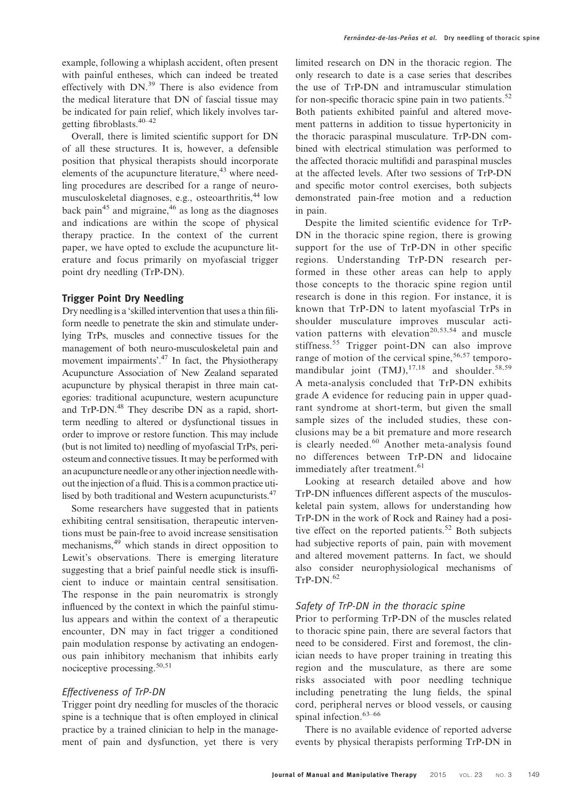example, following a whiplash accident, often present with painful entheses, which can indeed be treated effectively with  $DN.^{39}$  There is also evidence from the medical literature that DN of fascial tissue may be indicated for pain relief, which likely involves targetting fibroblasts.40–42

Overall, there is limited scientific support for DN of all these structures. It is, however, a defensible position that physical therapists should incorporate elements of the acupuncture literature,<sup>43</sup> where needling procedures are described for a range of neuromusculoskeletal diagnoses, e.g., osteoarthritis,<sup>44</sup> low back pain<sup>45</sup> and migraine,  $46$  as long as the diagnoses and indications are within the scope of physical therapy practice. In the context of the current paper, we have opted to exclude the acupuncture literature and focus primarily on myofascial trigger point dry needling (TrP-DN).

# Trigger Point Dry Needling

Dry needling is a 'skilled intervention that uses a thin filiform needle to penetrate the skin and stimulate underlying TrPs, muscles and connective tissues for the management of both neuro-musculoskeletal pain and movement impairments'.<sup>47</sup> In fact, the Physiotherapy Acupuncture Association of New Zealand separated acupuncture by physical therapist in three main categories: traditional acupuncture, western acupuncture and TrP-DN.<sup>48</sup> They describe DN as a rapid, shortterm needling to altered or dysfunctional tissues in order to improve or restore function. This may include (but is not limited to) needling of myofascial TrPs, periosteum and connective tissues. It may be performed with an acupuncture needle or any otherinjection needle without the injection of a fluid. This is a common practice utilised by both traditional and Western acupuncturists.<sup>47</sup>

Some researchers have suggested that in patients exhibiting central sensitisation, therapeutic interventions must be pain-free to avoid increase sensitisation mechanisms,<sup>49</sup> which stands in direct opposition to Lewit's observations. There is emerging literature suggesting that a brief painful needle stick is insufficient to induce or maintain central sensitisation. The response in the pain neuromatrix is strongly influenced by the context in which the painful stimulus appears and within the context of a therapeutic encounter, DN may in fact trigger a conditioned pain modulation response by activating an endogenous pain inhibitory mechanism that inhibits early nociceptive processing.<sup>50,51</sup>

# Effectiveness of TrP-DN

Trigger point dry needling for muscles of the thoracic spine is a technique that is often employed in clinical practice by a trained clinician to help in the management of pain and dysfunction, yet there is very

limited research on DN in the thoracic region. The only research to date is a case series that describes the use of TrP-DN and intramuscular stimulation for non-specific thoracic spine pain in two patients. $52$ Both patients exhibited painful and altered movement patterns in addition to tissue hypertonicity in the thoracic paraspinal musculature. TrP-DN combined with electrical stimulation was performed to the affected thoracic multifidi and paraspinal muscles at the affected levels. After two sessions of TrP-DN and specific motor control exercises, both subjects demonstrated pain-free motion and a reduction in pain.

Despite the limited scientific evidence for TrP-DN in the thoracic spine region, there is growing support for the use of TrP-DN in other specific regions. Understanding TrP-DN research performed in these other areas can help to apply those concepts to the thoracic spine region until research is done in this region. For instance, it is known that TrP-DN to latent myofascial TrPs in shoulder musculature improves muscular activation patterns with elevation<sup>20,53,54</sup> and muscle stiffness.<sup>55</sup> Trigger point-DN can also improve range of motion of the cervical spine,  $56,57$  temporomandibular joint  $(TMJ)$ ,  $^{17,18}$  and shoulder.  $^{58,59}$ A meta-analysis concluded that TrP-DN exhibits grade A evidence for reducing pain in upper quadrant syndrome at short-term, but given the small sample sizes of the included studies, these conclusions may be a bit premature and more research is clearly needed.<sup>60</sup> Another meta-analysis found no differences between TrP-DN and lidocaine immediately after treatment.<sup>61</sup>

Looking at research detailed above and how TrP-DN influences different aspects of the musculoskeletal pain system, allows for understanding how TrP-DN in the work of Rock and Rainey had a positive effect on the reported patients.<sup>52</sup> Both subjects had subjective reports of pain, pain with movement and altered movement patterns. In fact, we should also consider neurophysiological mechanisms of  $TrP-DN$ <sup>62</sup>

### Safety of TrP-DN in the thoracic spine

Prior to performing TrP-DN of the muscles related to thoracic spine pain, there are several factors that need to be considered. First and foremost, the clinician needs to have proper training in treating this region and the musculature, as there are some risks associated with poor needling technique including penetrating the lung fields, the spinal cord, peripheral nerves or blood vessels, or causing spinal infection.<sup>63-66</sup>

There is no available evidence of reported adverse events by physical therapists performing TrP-DN in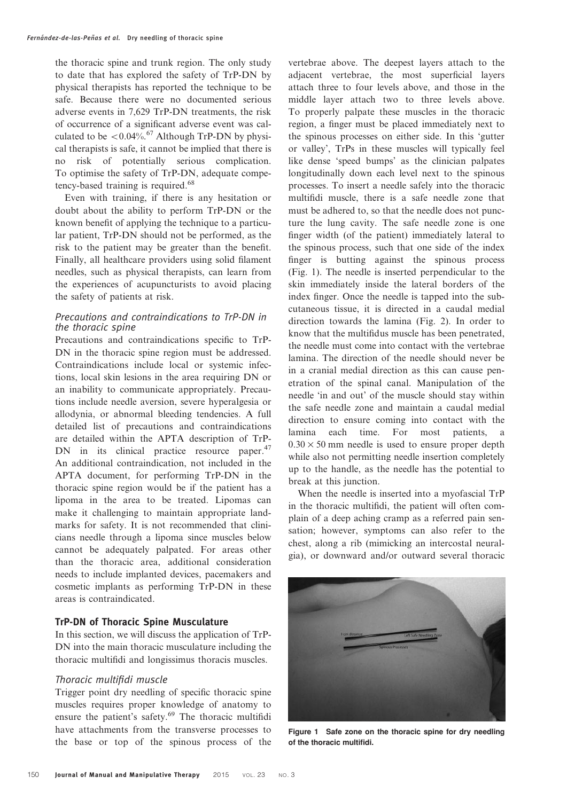the thoracic spine and trunk region. The only study to date that has explored the safety of TrP-DN by physical therapists has reported the technique to be safe. Because there were no documented serious adverse events in 7,629 TrP-DN treatments, the risk of occurrence of a significant adverse event was calculated to be  $\langle 0.04\% \right.^{67}$  Although TrP-DN by physical therapists is safe, it cannot be implied that there is no risk of potentially serious complication. To optimise the safety of TrP-DN, adequate competency-based training is required.<sup>68</sup>

Even with training, if there is any hesitation or doubt about the ability to perform TrP-DN or the known benefit of applying the technique to a particular patient, TrP-DN should not be performed, as the risk to the patient may be greater than the benefit. Finally, all healthcare providers using solid filament needles, such as physical therapists, can learn from the experiences of acupuncturists to avoid placing the safety of patients at risk.

# Precautions and contraindications to TrP-DN in the thoracic spine

Precautions and contraindications specific to TrP-DN in the thoracic spine region must be addressed. Contraindications include local or systemic infections, local skin lesions in the area requiring DN or an inability to communicate appropriately. Precautions include needle aversion, severe hyperalgesia or allodynia, or abnormal bleeding tendencies. A full detailed list of precautions and contraindications are detailed within the APTA description of TrP-DN in its clinical practice resource paper.<sup>47</sup> An additional contraindication, not included in the APTA document, for performing TrP-DN in the thoracic spine region would be if the patient has a lipoma in the area to be treated. Lipomas can make it challenging to maintain appropriate landmarks for safety. It is not recommended that clinicians needle through a lipoma since muscles below cannot be adequately palpated. For areas other than the thoracic area, additional consideration needs to include implanted devices, pacemakers and cosmetic implants as performing TrP-DN in these areas is contraindicated.

# TrP-DN of Thoracic Spine Musculature

In this section, we will discuss the application of TrP-DN into the main thoracic musculature including the thoracic multifidi and longissimus thoracis muscles.

### Thoracic multifidi muscle

Trigger point dry needling of specific thoracic spine muscles requires proper knowledge of anatomy to ensure the patient's safety.<sup>69</sup> The thoracic multifidi have attachments from the transverse processes to the base or top of the spinous process of the

vertebrae above. The deepest layers attach to the adjacent vertebrae, the most superficial layers attach three to four levels above, and those in the middle layer attach two to three levels above. To properly palpate these muscles in the thoracic region, a finger must be placed immediately next to the spinous processes on either side. In this 'gutter or valley', TrPs in these muscles will typically feel like dense 'speed bumps' as the clinician palpates longitudinally down each level next to the spinous processes. To insert a needle safely into the thoracic multifidi muscle, there is a safe needle zone that must be adhered to, so that the needle does not puncture the lung cavity. The safe needle zone is one finger width (of the patient) immediately lateral to the spinous process, such that one side of the index finger is butting against the spinous process (Fig. 1). The needle is inserted perpendicular to the skin immediately inside the lateral borders of the index finger. Once the needle is tapped into the subcutaneous tissue, it is directed in a caudal medial direction towards the lamina (Fig. 2). In order to know that the multifidus muscle has been penetrated, the needle must come into contact with the vertebrae lamina. The direction of the needle should never be in a cranial medial direction as this can cause penetration of the spinal canal. Manipulation of the needle 'in and out' of the muscle should stay within the safe needle zone and maintain a caudal medial direction to ensure coming into contact with the lamina each time. For most patients, a  $0.30 \times 50$  mm needle is used to ensure proper depth while also not permitting needle insertion completely up to the handle, as the needle has the potential to break at this junction.

When the needle is inserted into a myofascial TrP in the thoracic multifidi, the patient will often complain of a deep aching cramp as a referred pain sensation; however, symptoms can also refer to the chest, along a rib (mimicking an intercostal neuralgia), or downward and/or outward several thoracic



Figure 1 Safe zone on the thoracic spine for dry needling of the thoracic multifidi.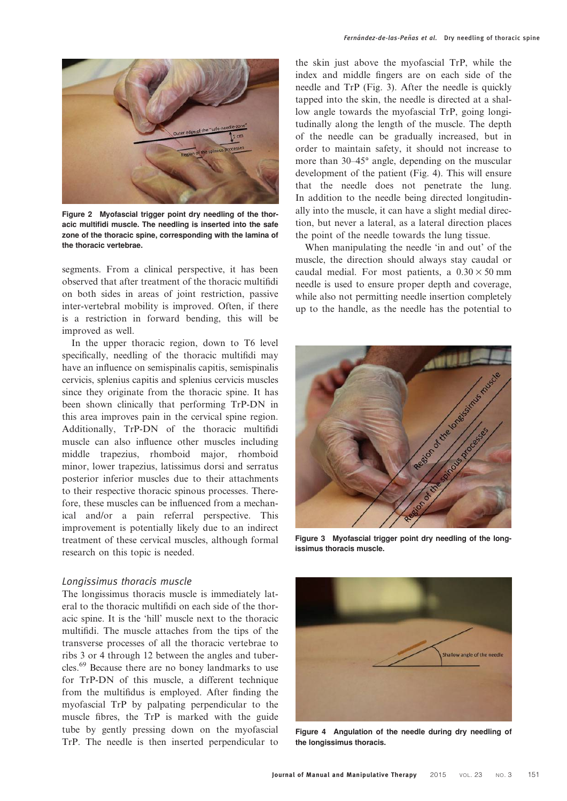

Figure 2 Myofascial trigger point dry needling of the thoracic multifidi muscle. The needling is inserted into the safe zone of the thoracic spine, corresponding with the lamina of the thoracic vertebrae.

segments. From a clinical perspective, it has been observed that after treatment of the thoracic multifidi on both sides in areas of joint restriction, passive inter-vertebral mobility is improved. Often, if there is a restriction in forward bending, this will be improved as well.

In the upper thoracic region, down to T6 level specifically, needling of the thoracic multifidi may have an influence on semispinalis capitis, semispinalis cervicis, splenius capitis and splenius cervicis muscles since they originate from the thoracic spine. It has been shown clinically that performing TrP-DN in this area improves pain in the cervical spine region. Additionally, TrP-DN of the thoracic multifidi muscle can also influence other muscles including middle trapezius, rhomboid major, rhomboid minor, lower trapezius, latissimus dorsi and serratus posterior inferior muscles due to their attachments to their respective thoracic spinous processes. Therefore, these muscles can be influenced from a mechanical and/or a pain referral perspective. This improvement is potentially likely due to an indirect treatment of these cervical muscles, although formal research on this topic is needed.

#### Longissimus thoracis muscle

The longissimus thoracis muscle is immediately lateral to the thoracic multifidi on each side of the thoracic spine. It is the 'hill' muscle next to the thoracic multifidi. The muscle attaches from the tips of the transverse processes of all the thoracic vertebrae to ribs 3 or 4 through 12 between the angles and tubercles.<sup>69</sup> Because there are no boney landmarks to use for TrP-DN of this muscle, a different technique from the multifidus is employed. After finding the myofascial TrP by palpating perpendicular to the muscle fibres, the TrP is marked with the guide tube by gently pressing down on the myofascial TrP. The needle is then inserted perpendicular to

the skin just above the myofascial TrP, while the index and middle fingers are on each side of the needle and TrP (Fig. 3). After the needle is quickly tapped into the skin, the needle is directed at a shallow angle towards the myofascial TrP, going longitudinally along the length of the muscle. The depth of the needle can be gradually increased, but in order to maintain safety, it should not increase to more than  $30-45^\circ$  angle, depending on the muscular development of the patient (Fig. 4). This will ensure that the needle does not penetrate the lung. In addition to the needle being directed longitudinally into the muscle, it can have a slight medial direction, but never a lateral, as a lateral direction places the point of the needle towards the lung tissue.

When manipulating the needle 'in and out' of the muscle, the direction should always stay caudal or caudal medial. For most patients, a  $0.30 \times 50$  mm needle is used to ensure proper depth and coverage, while also not permitting needle insertion completely up to the handle, as the needle has the potential to



Figure 3 Myofascial trigger point dry needling of the longissimus thoracis muscle.



Figure 4 Angulation of the needle during dry needling of the longissimus thoracis.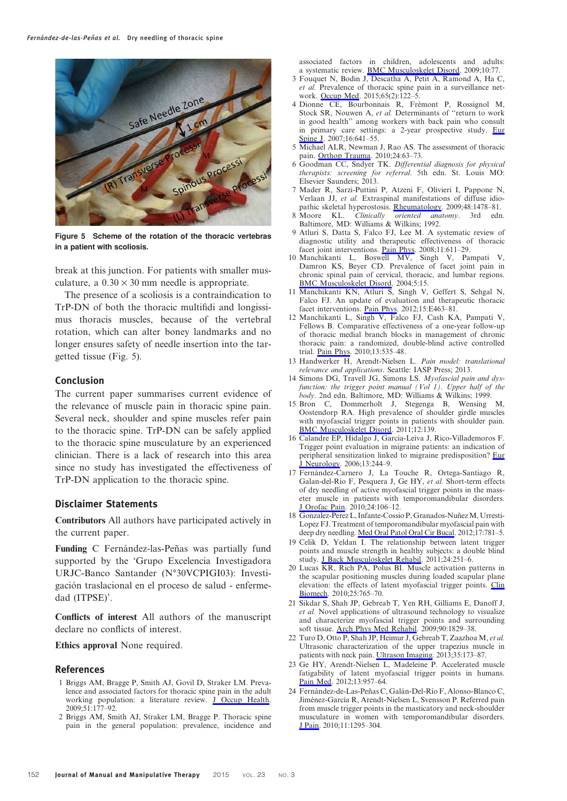

Figure 5 Scheme of the rotation of the thoracic vertebras in a patient with scoliosis.

break at this junction. For patients with smaller musculature, a  $0.30 \times 30$  mm needle is appropriate.

The presence of a scoliosis is a contraindication to TrP-DN of both the thoracic multifidi and longissimus thoracis muscles, because of the vertebral rotation, which can alter boney landmarks and no longer ensures safety of needle insertion into the targetted tissue (Fig. 5).

#### Conclusion

The current paper summarises current evidence of the relevance of muscle pain in thoracic spine pain. Several neck, shoulder and spine muscles refer pain to the thoracic spine. TrP-DN can be safely applied to the thoracic spine musculature by an experienced clinician. There is a lack of research into this area since no study has investigated the effectiveness of TrP-DN application to the thoracic spine.

#### Disclaimer Statements

Contributors All authors have participated actively in the current paper.

Funding C Fernández-las-Peñas was partially fund supported by the 'Grupo Excelencia Investigadora URJC-Banco Santander (N°30VCPIGI03): Investigación traslacional en el proceso de salud - enfermedad (ITPSE)'.

Conflicts of interest All authors of the manuscript declare no conflicts of interest.

Ethics approval None required.

#### References

- 1 Briggs AM, Bragge P, Smith AJ, Govil D, Straker LM. Prevalence and associated factors for thoracic spine pain in the adult working population: a literature review. [J Occup Health.](http://www.maneyonline.com/action/showLinks?pmid=19336970&crossref=10.1539%2Fjoh.K8007&isi=000266798100001) 2009;51:177–92.
- 2 Briggs AM, Smith AJ, Straker LM, Bragge P. Thoracic spine pain in the general population: prevalence, incidence and

associated factors in children, adolescents and adults: a systematic review. [BMC Musculoskelet Disord.](http://www.maneyonline.com/action/showLinks?pmid=19563667&crossref=10.1186%2F1471-2474-10-77&isi=000268671000001) 2009;10:77.

- 3 Fouquet N, Bodin J, Descatha A, Petit A, Ramond A, Ha C, et al. Prevalence of thoracic spine pain in a surveillance net-work. [Occup Med](http://www.maneyonline.com/action/showLinks?crossref=10.1093%2Foccmed%2Fkqu151). 2015;65(2):122-5.
- 4 Dionne CE, Bourbonnais R, Frémont P, Rossignol M, Stock SR, Nouwen A, et al. Determinants of ''return to work in good health'' among workers with back pain who consult in primary care settings: a 2-year prospective study. [Eur](http://www.maneyonline.com/action/showLinks?pmid=16868783&crossref=10.1007%2Fs00586-006-0180-2&isi=000246563000011) [Spine J](http://www.maneyonline.com/action/showLinks?pmid=16868783&crossref=10.1007%2Fs00586-006-0180-2&isi=000246563000011). 2007;16:641-55.
- 5 Michael ALR, Newman J, Rao AS. The assessment of thoracic pain. [Orthop Trauma](http://www.maneyonline.com/action/showLinks?crossref=10.1016%2Fj.mporth.2009.10.005). 2010;24:63-73.
- 6 Goodman CC, Sndyer TK. Differential diagnosis for physical therapists: screening for referral. 5th edn. St. Louis MO: Elsevier Saunders; 2013.
- 7 Mader R, Sarzi-Puttini P, Atzeni F, Olivieri I, Pappone N, Verlaan JJ, et al. Extraspinal manifestations of diffuse idio-
- pathic skeletal hyperostosis. [Rheumatology.](http://www.maneyonline.com/action/showLinks?pmid=19783587&crossref=10.1093%2Frheumatology%2Fkep308&isi=000272081000004) 2009;48:1478–81.<br>8 Moore KL. *Clinically oriented anatomy*. 3rd edn Clinically oriented anatomy. 3rd edn. Baltimore, MD: Williams & Wilkins; 1992.
- 9 Atluri S, Datta S, Falco FJ, Lee M. A systematic review of diagnostic utility and therapeutic effectiveness of thoracic facet joint interventions. <u>Pain Phys</u>. 2008;11:611-29.
- 10 Manchikanti L, Boswell MV, Singh V, Pampati V, Damron KS, Beyer CD. Prevalence of facet joint pain in chronic spinal pain of cervical, thoracic, and lumbar regions. [BMC Musculoskelet Disord](http://www.maneyonline.com/action/showLinks?pmid=15169547&crossref=10.1186%2F1471-2474-5-15&isi=000222362900001). 2004;5:15.
- 11 Manchikanti KN, Atluri S, Singh V, Geffert S, Sehgal N, Falco FJ. An update of evaluation and therapeutic thoracic facet interventions. [Pain Phys.](http://www.maneyonline.com/action/showLinks?pmid=22828694&isi=000306831900006) 2012;15:E463-81.
- 12 Manchikanti L, Singh V, Falco FJ, Cash KA, Pampati V, Fellows B. Comparative effectiveness of a one-year follow-up of thoracic medial branch blocks in management of chronic thoracic pain: a randomized, double-blind active controlled trial. [Pain Phys.](http://www.maneyonline.com/action/showLinks?pmid=21102966&isi=000285911100005) 2010;13:535–48.
- 13 Handwerker H, Arendt-Nielsen L. Pain model: translational relevance and applications. Seattle: IASP Press; 2013.
- 14 Simons DG, Travell JG, Simons LS. Myofascial pain and dysfunction: the trigger point manual  $(Vol 1)$ . Upper half of the body. 2nd edn. Baltimore, MD: Williams & Wilkins; 1999.
- 15 Bron C, Dommerholt J, Stegenga B, Wensing M, Oostendorp RA. High prevalence of shoulder girdle muscles with myofascial trigger points in patients with shoulder pain. [BMC Musculoskelet Disord](http://www.maneyonline.com/action/showLinks?pmid=21711512&crossref=10.1186%2F1471-2474-12-139&isi=000293294400001). 2011;12:139.
- 16 Calandre EP, Hidalgo J, Garcia-Leiva J, Rico-Villademoros F. Trigger point evaluation in migraine patients: an indication of peripheral sensitization linked to migraine predisposition? [Eur](http://www.maneyonline.com/action/showLinks?pmid=16618340&crossref=10.1111%2Fj.1468-1331.2006.01181.x&isi=000236243800007) [J Neurology.](http://www.maneyonline.com/action/showLinks?pmid=16618340&crossref=10.1111%2Fj.1468-1331.2006.01181.x&isi=000236243800007) 2006;13:244–9.
- 17 Fernández-Carnero J, La Touche R, Ortega-Santiago R, Galan-del-Rio F, Pesquera J, Ge HY, et al. Short-term effects of dry needling of active myofascial trigger points in the masseter muscle in patients with temporomandibular disorders. [J Orofac Pain](http://www.maneyonline.com/action/showLinks?pmid=20213036&isi=000275119500010). 2010;24:106–12.
- 18 Gonzalez-Perez L, Infante-Cossio P, Granados-Nuñez M, Urresti-Lopez FJ. Treatment of temporomandibular myofascial pain with deep dry needling. [Med Oral Patol Oral Cir Bucal](http://www.maneyonline.com/action/showLinks?pmid=22549679&crossref=10.4317%2Fmedoral.17822&isi=000308981600010). 2012;17:781–5.
- Celik D, Yeldan I. The relationship between latent trigger points and muscle strength in healthy subjects: a double blind study. [J Back Musculoskelet Rehabil](http://www.maneyonline.com/action/showLinks?pmid=22142714&isi=000297862700008). 2011;24:251–6.
- 20 Lucas KR, Rich PA, Polus BI. Muscle activation patterns in the scapular positioning muscles during loaded scapular plane elevation: the effects of latent myofascial trigger points. [Clin](http://www.maneyonline.com/action/showLinks?pmid=20667633&crossref=10.1016%2Fj.clinbiomech.2010.05.006&isi=000281334700003) [Biomech](http://www.maneyonline.com/action/showLinks?pmid=20667633&crossref=10.1016%2Fj.clinbiomech.2010.05.006&isi=000281334700003). 2010;25:765–70.
- 21 Sikdar S, Shah JP, Gebreab T, Yen RH, Gilliams E, Danoff J, et al. Novel applications of ultrasound technology to visualize and characterize myofascial trigger points and surrounding soft tissue. [Arch Phys Med Rehabil.](http://www.maneyonline.com/action/showLinks?pmid=19887205&crossref=10.1016%2Fj.apmr.2009.04.015&isi=000271881900003) 2009;90:1829–38.
- 22 Turo D, Otto P, Shah JP, Heimur J, Gebreab T, Zaazhoa M, et al. Ultrasonic characterization of the upper trapezius muscle in patients with neck pain. [Ultrason Imaging](http://www.maneyonline.com/action/showLinks?pmid=23493615&crossref=10.1177%2F0161734612472408&isi=000329395600008). 2013;35:173–87.
- 23 Ge HY, Arendt-Nielsen L, Madeleine P. Accelerated muscle fatigability of latent myofascial trigger points in humans. [Pain Med](http://www.maneyonline.com/action/showLinks?pmid=22694218&crossref=10.1111%2Fj.1526-4637.2012.01416.x&isi=000306360400014). 2012;13:957–64.
- 24 Fernández-de-Las-Peñas C, Galán-Del-Río F, Alonso-Blanco C, Jiménez-García R, Arendt-Nielsen L, Svensson P. Referred pain from muscle trigger points in the masticatory and neck-shoulder musculature in women with temporomandibular disorders. [J Pain](http://www.maneyonline.com/action/showLinks?pmid=20494623&crossref=10.1016%2Fj.jpain.2010.03.005&isi=000285442800008). 2010;11:1295–304.